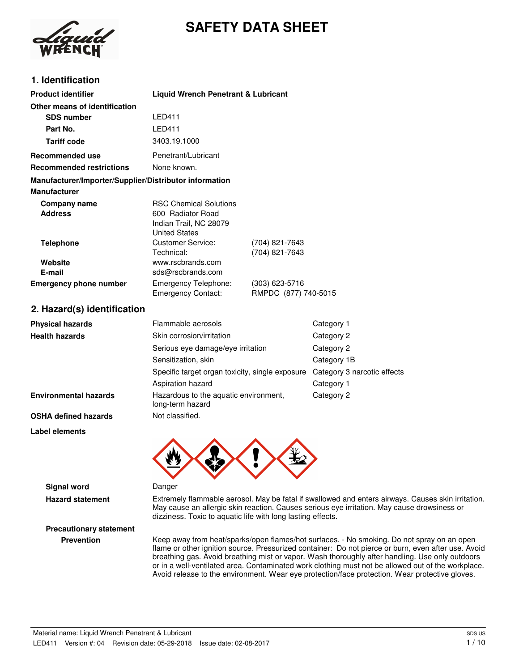# **SAFETY DATA SHEET**



# **1. Identification**

| <b>Product identifier</b>                                                     | <b>Liquid Wrench Penetrant &amp; Lubricant</b>                                                       |                                        |                             |
|-------------------------------------------------------------------------------|------------------------------------------------------------------------------------------------------|----------------------------------------|-----------------------------|
| Other means of identification                                                 |                                                                                                      |                                        |                             |
| <b>SDS number</b>                                                             | <b>LED411</b>                                                                                        |                                        |                             |
| Part No.                                                                      | <b>I FD411</b>                                                                                       |                                        |                             |
| <b>Tariff code</b>                                                            | 3403.19.1000                                                                                         |                                        |                             |
| <b>Recommended use</b>                                                        | Penetrant/Lubricant                                                                                  |                                        |                             |
| <b>Recommended restrictions</b>                                               | None known.                                                                                          |                                        |                             |
| Manufacturer/Importer/Supplier/Distributor information<br><b>Manufacturer</b> |                                                                                                      |                                        |                             |
| Company name<br><b>Address</b>                                                | <b>RSC Chemical Solutions</b><br>600 Radiator Road<br>Indian Trail, NC 28079<br><b>United States</b> |                                        |                             |
| <b>Telephone</b>                                                              | <b>Customer Service:</b><br>Technical:                                                               | (704) 821-7643<br>(704) 821-7643       |                             |
| Website<br>E-mail                                                             | www.rscbrands.com<br>sds@rscbrands.com                                                               |                                        |                             |
| <b>Emergency phone number</b>                                                 | Emergency Telephone:<br><b>Emergency Contact:</b>                                                    | (303) 623-5716<br>RMPDC (877) 740-5015 |                             |
| 2. Hazard(s) identification                                                   |                                                                                                      |                                        |                             |
| <b>Physical hazards</b>                                                       | Flammable aerosols                                                                                   |                                        | Category 1                  |
| <b>Health hazards</b>                                                         | Skin corrosion/irritation                                                                            |                                        | Category 2                  |
|                                                                               | Serious eye damage/eye irritation                                                                    |                                        | Category 2                  |
|                                                                               | Sensitization, skin                                                                                  |                                        | Category 1B                 |
|                                                                               | Specific target organ toxicity, single exposure                                                      |                                        | Category 3 narcotic effects |
|                                                                               | Aspiration hazard                                                                                    |                                        | Category 1                  |
| <b>Environmental hazards</b>                                                  | Hazardous to the aquatic environment,<br>long-term hazard                                            |                                        | Category 2                  |
| <b>OSHA defined hazards</b>                                                   | Not classified.                                                                                      |                                        |                             |
| <b>Label elements</b>                                                         |                                                                                                      |                                        |                             |



**Signal word** Danger

**Precautionary statement**

**Hazard statement** Extremely flammable aerosol. May be fatal if swallowed and enters airways. Causes skin irritation. May cause an allergic skin reaction. Causes serious eye irritation. May cause drowsiness or dizziness. Toxic to aquatic life with long lasting effects.

**Prevention** Keep away from heat/sparks/open flames/hot surfaces. - No smoking. Do not spray on an open flame or other ignition source. Pressurized container: Do not pierce or burn, even after use. Avoid breathing gas. Avoid breathing mist or vapor. Wash thoroughly after handling. Use only outdoors or in a well-ventilated area. Contaminated work clothing must not be allowed out of the workplace. Avoid release to the environment. Wear eye protection/face protection. Wear protective gloves.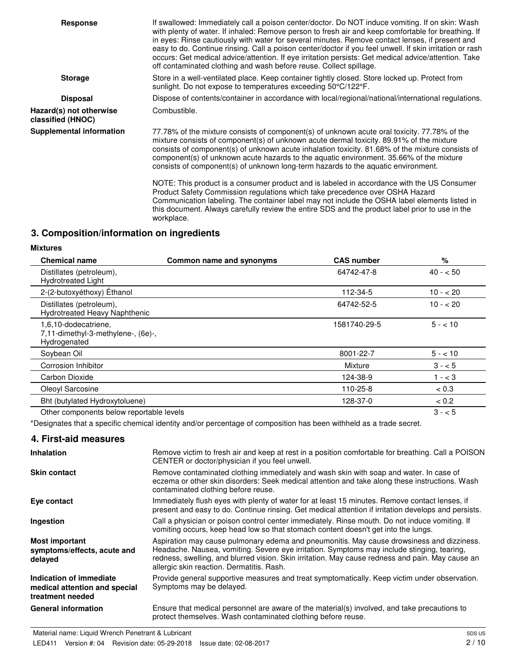| <b>Response</b>                              | If swallowed: Immediately call a poison center/doctor. Do NOT induce vomiting. If on skin: Wash<br>with plenty of water. If inhaled: Remove person to fresh air and keep comfortable for breathing. If<br>in eyes: Rinse cautiously with water for several minutes. Remove contact lenses, if present and<br>easy to do. Continue rinsing. Call a poison center/doctor if you feel unwell. If skin irritation or rash<br>occurs: Get medical advice/attention. If eye irritation persists: Get medical advice/attention. Take<br>off contaminated clothing and wash before reuse. Collect spillage. |
|----------------------------------------------|-----------------------------------------------------------------------------------------------------------------------------------------------------------------------------------------------------------------------------------------------------------------------------------------------------------------------------------------------------------------------------------------------------------------------------------------------------------------------------------------------------------------------------------------------------------------------------------------------------|
| <b>Storage</b>                               | Store in a well-ventilated place. Keep container tightly closed. Store locked up. Protect from<br>sunlight. Do not expose to temperatures exceeding 50°C/122°F.                                                                                                                                                                                                                                                                                                                                                                                                                                     |
| <b>Disposal</b>                              | Dispose of contents/container in accordance with local/regional/national/international regulations.                                                                                                                                                                                                                                                                                                                                                                                                                                                                                                 |
| Hazard(s) not otherwise<br>classified (HNOC) | Combustible.                                                                                                                                                                                                                                                                                                                                                                                                                                                                                                                                                                                        |
| <b>Supplemental information</b>              | 77.78% of the mixture consists of component(s) of unknown acute oral toxicity. 77.78% of the<br>mixture consists of component(s) of unknown acute dermal toxicity. 89.91% of the mixture<br>consists of component(s) of unknown acute inhalation toxicity. 81.68% of the mixture consists of<br>component(s) of unknown acute hazards to the aquatic environment. 35.66% of the mixture<br>consists of component(s) of unknown long-term hazards to the aquatic environment.                                                                                                                        |
|                                              | NOTE: This product is a consumer product and is labeled in accordance with the US Consumer<br>Product Safety Commission regulations which take precedence over OSHA Hazard<br>Communication labeling. The container label may not include the OSHA label elements listed in<br>this document. Always carefully review the entire SDS and the product label prior to use in the<br>workplace.                                                                                                                                                                                                        |
| 3. Composition/information on ingredients    |                                                                                                                                                                                                                                                                                                                                                                                                                                                                                                                                                                                                     |

# **Mixtures**

| <b>Chemical name</b>                                                       | Common name and synonyms | <b>CAS number</b> | %         |
|----------------------------------------------------------------------------|--------------------------|-------------------|-----------|
| Distillates (petroleum),<br><b>Hydrotreated Light</b>                      |                          | 64742-47-8        | $40 - 50$ |
| 2-(2-butoxyéthoxy) Éthanol                                                 |                          | 112-34-5          | $10 - 20$ |
| Distillates (petroleum),<br>Hydrotreated Heavy Naphthenic                  |                          | 64742-52-5        | $10 - 20$ |
| 1,6,10-dodecatriene,<br>7,11-dimethyl-3-methylene-, (6e)-,<br>Hydrogenated |                          | 1581740-29-5      | $5 - 10$  |
| Soybean Oil                                                                |                          | 8001-22-7         | $5 - 10$  |
| Corrosion Inhibitor                                                        |                          | Mixture           | $3 - 5$   |
| Carbon Dioxide                                                             |                          | 124-38-9          | $1 - < 3$ |
| Oleoyl Sarcosine                                                           |                          | 110-25-8          | < 0.3     |
| Bht (butylated Hydroxytoluene)                                             |                          | 128-37-0          | < 0.2     |
| Other components below reportable levels                                   |                          |                   | $3 - 5$   |

\*Designates that a specific chemical identity and/or percentage of composition has been withheld as a trade secret.

#### **4. First-aid measures**

| <b>Inhalation</b>                                                            | Remove victim to fresh air and keep at rest in a position comfortable for breathing. Call a POISON<br>CENTER or doctor/physician if you feel unwell.                                                                                                                                                                                     |
|------------------------------------------------------------------------------|------------------------------------------------------------------------------------------------------------------------------------------------------------------------------------------------------------------------------------------------------------------------------------------------------------------------------------------|
| <b>Skin contact</b>                                                          | Remove contaminated clothing immediately and wash skin with soap and water. In case of<br>eczema or other skin disorders: Seek medical attention and take along these instructions. Wash<br>contaminated clothing before reuse.                                                                                                          |
| Eye contact                                                                  | Immediately flush eyes with plenty of water for at least 15 minutes. Remove contact lenses, if<br>present and easy to do. Continue rinsing. Get medical attention if irritation develops and persists.                                                                                                                                   |
| Ingestion                                                                    | Call a physician or poison control center immediately. Rinse mouth. Do not induce vomiting. If<br>vomiting occurs, keep head low so that stomach content doesn't get into the lungs.                                                                                                                                                     |
| <b>Most important</b><br>symptoms/effects, acute and<br>delayed              | Aspiration may cause pulmonary edema and pneumonitis. May cause drowsiness and dizziness.<br>Headache. Nausea, vomiting. Severe eye irritation. Symptoms may include stinging, tearing,<br>redness, swelling, and blurred vision. Skin irritation. May cause redness and pain. May cause an<br>allergic skin reaction. Dermatitis. Rash. |
| Indication of immediate<br>medical attention and special<br>treatment needed | Provide general supportive measures and treat symptomatically. Keep victim under observation.<br>Symptoms may be delayed.                                                                                                                                                                                                                |
| <b>General information</b>                                                   | Ensure that medical personnel are aware of the material(s) involved, and take precautions to<br>protect themselves. Wash contaminated clothing before reuse.                                                                                                                                                                             |
|                                                                              |                                                                                                                                                                                                                                                                                                                                          |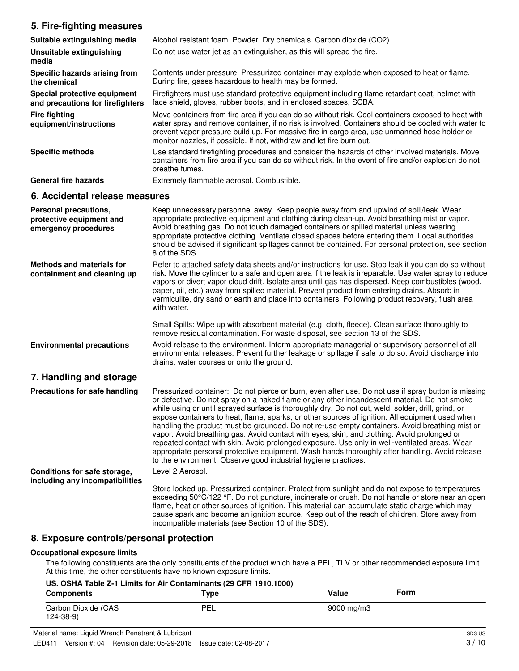## **5. Fire-fighting measures**

| 5. Fire-righting measures                                                 |                                                                                                                                                                                                                                                                                                                                                                                                                                                                                                                                                                                                                                                                                                                                                                                                                                                                                    |
|---------------------------------------------------------------------------|------------------------------------------------------------------------------------------------------------------------------------------------------------------------------------------------------------------------------------------------------------------------------------------------------------------------------------------------------------------------------------------------------------------------------------------------------------------------------------------------------------------------------------------------------------------------------------------------------------------------------------------------------------------------------------------------------------------------------------------------------------------------------------------------------------------------------------------------------------------------------------|
| Suitable extinguishing media                                              | Alcohol resistant foam. Powder. Dry chemicals. Carbon dioxide (CO2).                                                                                                                                                                                                                                                                                                                                                                                                                                                                                                                                                                                                                                                                                                                                                                                                               |
| Unsuitable extinguishing<br>media                                         | Do not use water jet as an extinguisher, as this will spread the fire.                                                                                                                                                                                                                                                                                                                                                                                                                                                                                                                                                                                                                                                                                                                                                                                                             |
| Specific hazards arising from<br>the chemical                             | Contents under pressure. Pressurized container may explode when exposed to heat or flame.<br>During fire, gases hazardous to health may be formed.                                                                                                                                                                                                                                                                                                                                                                                                                                                                                                                                                                                                                                                                                                                                 |
| Special protective equipment<br>and precautions for firefighters          | Firefighters must use standard protective equipment including flame retardant coat, helmet with<br>face shield, gloves, rubber boots, and in enclosed spaces, SCBA.                                                                                                                                                                                                                                                                                                                                                                                                                                                                                                                                                                                                                                                                                                                |
| <b>Fire fighting</b><br>equipment/instructions                            | Move containers from fire area if you can do so without risk. Cool containers exposed to heat with<br>water spray and remove container, if no risk is involved. Containers should be cooled with water to<br>prevent vapor pressure build up. For massive fire in cargo area, use unmanned hose holder or<br>monitor nozzles, if possible. If not, withdraw and let fire burn out.                                                                                                                                                                                                                                                                                                                                                                                                                                                                                                 |
| <b>Specific methods</b>                                                   | Use standard firefighting procedures and consider the hazards of other involved materials. Move<br>containers from fire area if you can do so without risk. In the event of fire and/or explosion do not<br>breathe fumes.                                                                                                                                                                                                                                                                                                                                                                                                                                                                                                                                                                                                                                                         |
| <b>General fire hazards</b>                                               | Extremely flammable aerosol. Combustible.                                                                                                                                                                                                                                                                                                                                                                                                                                                                                                                                                                                                                                                                                                                                                                                                                                          |
| 6. Accidental release measures                                            |                                                                                                                                                                                                                                                                                                                                                                                                                                                                                                                                                                                                                                                                                                                                                                                                                                                                                    |
| Personal precautions,<br>protective equipment and<br>emergency procedures | Keep unnecessary personnel away. Keep people away from and upwind of spill/leak. Wear<br>appropriate protective equipment and clothing during clean-up. Avoid breathing mist or vapor.<br>Avoid breathing gas. Do not touch damaged containers or spilled material unless wearing<br>appropriate protective clothing. Ventilate closed spaces before entering them. Local authorities<br>should be advised if significant spillages cannot be contained. For personal protection, see section<br>8 of the SDS.                                                                                                                                                                                                                                                                                                                                                                     |
| <b>Methods and materials for</b><br>containment and cleaning up           | Refer to attached safety data sheets and/or instructions for use. Stop leak if you can do so without<br>risk. Move the cylinder to a safe and open area if the leak is irreparable. Use water spray to reduce<br>vapors or divert vapor cloud drift. Isolate area until gas has dispersed. Keep combustibles (wood,<br>paper, oil, etc.) away from spilled material. Prevent product from entering drains. Absorb in<br>vermiculite, dry sand or earth and place into containers. Following product recovery, flush area<br>with water.                                                                                                                                                                                                                                                                                                                                            |
|                                                                           | Small Spills: Wipe up with absorbent material (e.g. cloth, fleece). Clean surface thoroughly to<br>remove residual contamination. For waste disposal, see section 13 of the SDS.                                                                                                                                                                                                                                                                                                                                                                                                                                                                                                                                                                                                                                                                                                   |
| <b>Environmental precautions</b>                                          | Avoid release to the environment. Inform appropriate managerial or supervisory personnel of all<br>environmental releases. Prevent further leakage or spillage if safe to do so. Avoid discharge into<br>drains, water courses or onto the ground.                                                                                                                                                                                                                                                                                                                                                                                                                                                                                                                                                                                                                                 |
| 7. Handling and storage                                                   |                                                                                                                                                                                                                                                                                                                                                                                                                                                                                                                                                                                                                                                                                                                                                                                                                                                                                    |
| Precautions for safe handling                                             | Pressurized container: Do not pierce or burn, even after use. Do not use if spray button is missing<br>or defective. Do not spray on a naked flame or any other incandescent material. Do not smoke<br>while using or until sprayed surface is thoroughly dry. Do not cut, weld, solder, drill, grind, or<br>expose containers to heat, flame, sparks, or other sources of ignition. All equipment used when<br>handling the product must be grounded. Do not re-use empty containers. Avoid breathing mist or<br>vapor. Avoid breathing gas. Avoid contact with eyes, skin, and clothing. Avoid prolonged or<br>repeated contact with skin. Avoid prolonged exposure. Use only in well-ventilated areas. Wear<br>appropriate personal protective equipment. Wash hands thoroughly after handling. Avoid release<br>to the environment. Observe good industrial hygiene practices. |
| Conditions for safe storage,<br>including any incompatibilities           | Level 2 Aerosol.<br>Store locked up. Pressurized container. Protect from sunlight and do not expose to temperatures<br>exceeding 50°C/122 °F. Do not puncture, incinerate or crush. Do not handle or store near an open<br>flame, heat or other sources of ignition. This material can accumulate static charge which may                                                                                                                                                                                                                                                                                                                                                                                                                                                                                                                                                          |

#### **8. Exposure controls/personal protection**

#### **Occupational exposure limits**

The following constituents are the only constituents of the product which have a PEL, TLV or other recommended exposure limit. At this time, the other constituents have no known exposure limits.

incompatible materials (see Section 10 of the SDS).

cause spark and become an ignition source. Keep out of the reach of children. Store away from

| US. OSHA Table Z-1 Limits for Air Contaminants (29 CFR 1910.1000) |      |                        |             |  |
|-------------------------------------------------------------------|------|------------------------|-------------|--|
| <b>Components</b>                                                 | Type | Value                  | <b>Form</b> |  |
| Carbon Dioxide (CAS<br>$124 - 38 - 9$                             | PEL  | $9000 \,\mathrm{mg/m}$ |             |  |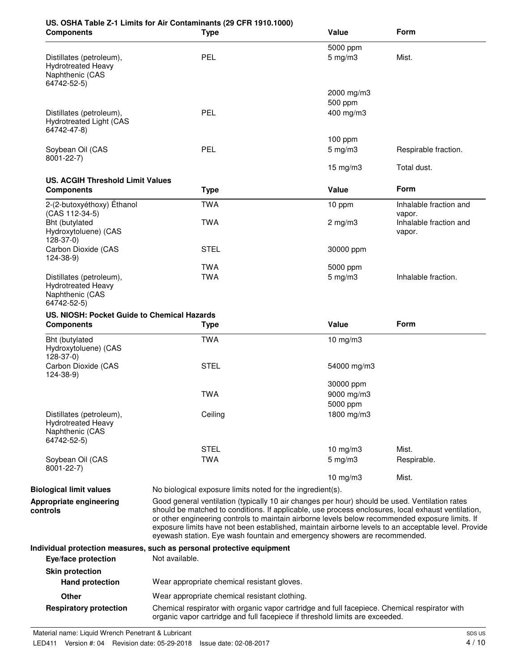| <b>Components</b>                                                                       | <b>Type</b>                                                                                                                                                                                                                                                                                                                                                                                                                                                                                 | Value                                                                                         | Form                             |
|-----------------------------------------------------------------------------------------|---------------------------------------------------------------------------------------------------------------------------------------------------------------------------------------------------------------------------------------------------------------------------------------------------------------------------------------------------------------------------------------------------------------------------------------------------------------------------------------------|-----------------------------------------------------------------------------------------------|----------------------------------|
|                                                                                         |                                                                                                                                                                                                                                                                                                                                                                                                                                                                                             | 5000 ppm                                                                                      |                                  |
| Distillates (petroleum),<br><b>Hydrotreated Heavy</b><br>Naphthenic (CAS<br>64742-52-5) | PEL                                                                                                                                                                                                                                                                                                                                                                                                                                                                                         | $5 \text{ mg/m}$ 3                                                                            | Mist.                            |
|                                                                                         |                                                                                                                                                                                                                                                                                                                                                                                                                                                                                             | 2000 mg/m3                                                                                    |                                  |
|                                                                                         |                                                                                                                                                                                                                                                                                                                                                                                                                                                                                             | 500 ppm                                                                                       |                                  |
| Distillates (petroleum),<br><b>Hydrotreated Light (CAS</b><br>64742-47-8)               | <b>PEL</b>                                                                                                                                                                                                                                                                                                                                                                                                                                                                                  | 400 mg/m3                                                                                     |                                  |
|                                                                                         |                                                                                                                                                                                                                                                                                                                                                                                                                                                                                             | $100$ ppm                                                                                     |                                  |
| Soybean Oil (CAS<br>8001-22-7)                                                          | <b>PEL</b>                                                                                                                                                                                                                                                                                                                                                                                                                                                                                  | $5$ mg/m $3$                                                                                  | Respirable fraction.             |
|                                                                                         |                                                                                                                                                                                                                                                                                                                                                                                                                                                                                             | $15$ mg/m $3$                                                                                 | Total dust.                      |
| <b>US. ACGIH Threshold Limit Values</b>                                                 |                                                                                                                                                                                                                                                                                                                                                                                                                                                                                             | Value                                                                                         | Form                             |
| <b>Components</b>                                                                       | <b>Type</b>                                                                                                                                                                                                                                                                                                                                                                                                                                                                                 |                                                                                               |                                  |
| 2-(2-butoxyéthoxy) Éthanol<br>(CAS 112-34-5)                                            | <b>TWA</b>                                                                                                                                                                                                                                                                                                                                                                                                                                                                                  | 10 ppm                                                                                        | Inhalable fraction and<br>vapor. |
| Bht (butylated<br>Hydroxytoluene) (CAS<br>128-37-0)                                     | <b>TWA</b>                                                                                                                                                                                                                                                                                                                                                                                                                                                                                  | $2 \text{ mg/m}$ 3                                                                            | Inhalable fraction and<br>vapor. |
| Carbon Dioxide (CAS<br>124-38-9)                                                        | <b>STEL</b>                                                                                                                                                                                                                                                                                                                                                                                                                                                                                 | 30000 ppm                                                                                     |                                  |
|                                                                                         | <b>TWA</b>                                                                                                                                                                                                                                                                                                                                                                                                                                                                                  | 5000 ppm                                                                                      |                                  |
| Distillates (petroleum),<br><b>Hydrotreated Heavy</b><br>Naphthenic (CAS<br>64742-52-5) | <b>TWA</b>                                                                                                                                                                                                                                                                                                                                                                                                                                                                                  | $5$ mg/m $3$                                                                                  | Inhalable fraction.              |
| US. NIOSH: Pocket Guide to Chemical Hazards                                             |                                                                                                                                                                                                                                                                                                                                                                                                                                                                                             |                                                                                               |                                  |
| <b>Components</b>                                                                       | <b>Type</b>                                                                                                                                                                                                                                                                                                                                                                                                                                                                                 | Value                                                                                         | Form                             |
| Bht (butylated<br>Hydroxytoluene) (CAS<br>$128-37-0$                                    | <b>TWA</b>                                                                                                                                                                                                                                                                                                                                                                                                                                                                                  | 10 mg/m3                                                                                      |                                  |
| Carbon Dioxide (CAS<br>$124 - 38 - 9$                                                   | <b>STEL</b>                                                                                                                                                                                                                                                                                                                                                                                                                                                                                 | 54000 mg/m3                                                                                   |                                  |
|                                                                                         |                                                                                                                                                                                                                                                                                                                                                                                                                                                                                             | 30000 ppm                                                                                     |                                  |
|                                                                                         | <b>TWA</b>                                                                                                                                                                                                                                                                                                                                                                                                                                                                                  | 9000 mg/m3                                                                                    |                                  |
|                                                                                         |                                                                                                                                                                                                                                                                                                                                                                                                                                                                                             | 5000 ppm                                                                                      |                                  |
| Distillates (petroleum),<br><b>Hydrotreated Heavy</b><br>Naphthenic (CAS<br>64742-52-5) | Ceiling                                                                                                                                                                                                                                                                                                                                                                                                                                                                                     | 1800 mg/m3                                                                                    |                                  |
|                                                                                         | <b>STEL</b>                                                                                                                                                                                                                                                                                                                                                                                                                                                                                 | $10$ mg/m $3$                                                                                 | Mist.                            |
| Soybean Oil (CAS                                                                        | <b>TWA</b>                                                                                                                                                                                                                                                                                                                                                                                                                                                                                  | $5 \text{ mg/m}$ 3                                                                            | Respirable.                      |
| 8001-22-7)                                                                              |                                                                                                                                                                                                                                                                                                                                                                                                                                                                                             | $10$ mg/m $3$                                                                                 | Mist.                            |
| <b>Biological limit values</b>                                                          | No biological exposure limits noted for the ingredient(s).                                                                                                                                                                                                                                                                                                                                                                                                                                  |                                                                                               |                                  |
| Appropriate engineering<br>controls                                                     | Good general ventilation (typically 10 air changes per hour) should be used. Ventilation rates<br>should be matched to conditions. If applicable, use process enclosures, local exhaust ventilation,<br>or other engineering controls to maintain airborne levels below recommended exposure limits. If<br>exposure limits have not been established, maintain airborne levels to an acceptable level. Provide<br>eyewash station. Eye wash fountain and emergency showers are recommended. |                                                                                               |                                  |
| Eye/face protection                                                                     | Individual protection measures, such as personal protective equipment<br>Not available.                                                                                                                                                                                                                                                                                                                                                                                                     |                                                                                               |                                  |
|                                                                                         |                                                                                                                                                                                                                                                                                                                                                                                                                                                                                             |                                                                                               |                                  |
| <b>Skin protection</b><br><b>Hand protection</b>                                        | Wear appropriate chemical resistant gloves.                                                                                                                                                                                                                                                                                                                                                                                                                                                 |                                                                                               |                                  |
| <b>Other</b>                                                                            | Wear appropriate chemical resistant clothing.                                                                                                                                                                                                                                                                                                                                                                                                                                               |                                                                                               |                                  |
|                                                                                         |                                                                                                                                                                                                                                                                                                                                                                                                                                                                                             | Chemical respirator with organic vapor cartridge and full facepiece. Chemical respirator with |                                  |

organic vapor cartridge and full facepiece if threshold limits are exceeded.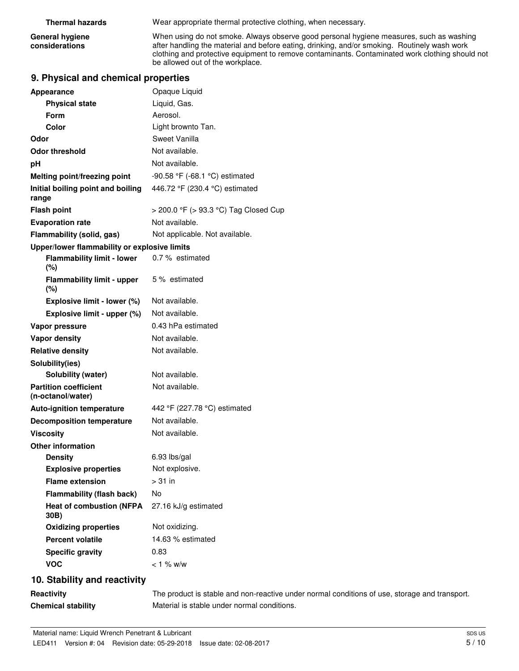**General hygiene considerations**

**Thermal hazards** Wear appropriate thermal protective clothing, when necessary.

When using do not smoke. Always observe good personal hygiene measures, such as washing after handling the material and before eating, drinking, and/or smoking. Routinely wash work clothing and protective equipment to remove contaminants. Contaminated work clothing should not be allowed out of the workplace.

#### **9. Physical and chemical properties**

| <b>Appearance</b>                                 | Opaque Liquid                         |
|---------------------------------------------------|---------------------------------------|
| <b>Physical state</b>                             | Liquid, Gas.                          |
| Form                                              | Aerosol.                              |
| Color                                             | Light brownto Tan.                    |
| Odor                                              | Sweet Vanilla                         |
| <b>Odor threshold</b>                             | Not available.                        |
| рH                                                | Not available.                        |
| Melting point/freezing point                      | -90.58 °F (-68.1 °C) estimated        |
| Initial boiling point and boiling<br>range        | 446.72 °F (230.4 °C) estimated        |
| <b>Flash point</b>                                | > 200.0 °F (> 93.3 °C) Tag Closed Cup |
| <b>Evaporation rate</b>                           | Not available.                        |
| Flammability (solid, gas)                         | Not applicable. Not available.        |
| Upper/lower flammability or explosive limits      |                                       |
| <b>Flammability limit - lower</b><br>(%)          | 0.7 % estimated                       |
| <b>Flammability limit - upper</b><br>(%)          | 5 % estimated                         |
| Explosive limit - lower (%)                       | Not available.                        |
| Explosive limit - upper (%)                       | Not available.                        |
| Vapor pressure                                    | 0.43 hPa estimated                    |
| <b>Vapor density</b>                              | Not available.                        |
| <b>Relative density</b>                           | Not available.                        |
| Solubility(ies)                                   |                                       |
| Solubility (water)                                | Not available.                        |
| <b>Partition coefficient</b><br>(n-octanol/water) | Not available.                        |
| <b>Auto-ignition temperature</b>                  | 442 °F (227.78 °C) estimated          |
| <b>Decomposition temperature</b>                  | Not available.                        |
| <b>Viscosity</b>                                  | Not available.                        |
| <b>Other information</b>                          |                                       |
| <b>Density</b>                                    | 6.93 lbs/gal                          |
| <b>Explosive properties</b>                       | Not explosive.                        |
| <b>Flame extension</b>                            | $>31$ in                              |
| <b>Flammability (flash back)</b>                  | No                                    |
| <b>Heat of combustion (NFPA</b><br>30B)           | 27.16 kJ/g estimated                  |
| <b>Oxidizing properties</b>                       | Not oxidizing.                        |
| <b>Percent volatile</b>                           | 14.63 % estimated                     |
| <b>Specific gravity</b>                           | 0.83                                  |
| <b>VOC</b>                                        | $< 1 \%$ w/w                          |
|                                                   |                                       |

### **10. Stability and reactivity**

**Reactivity** The product is stable and non-reactive under normal conditions of use, storage and transport. **Chemical stability** Material is stable under normal conditions.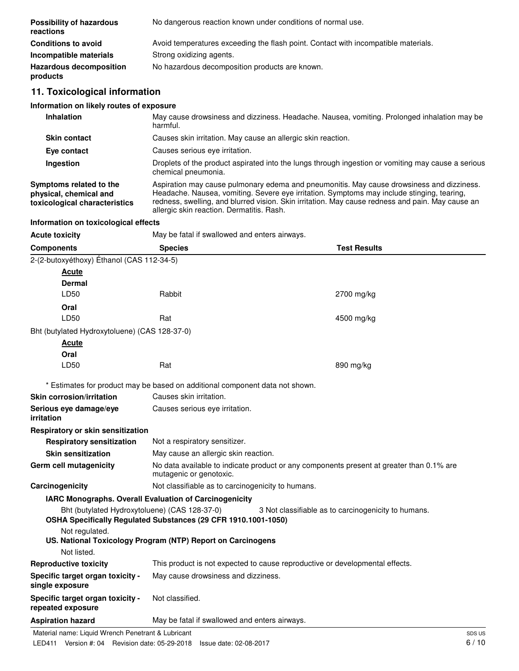| <b>Possibility of hazardous</b><br>reactions | No dangerous reaction known under conditions of normal use.                        |  |  |
|----------------------------------------------|------------------------------------------------------------------------------------|--|--|
| <b>Conditions to avoid</b>                   | Avoid temperatures exceeding the flash point. Contact with incompatible materials. |  |  |
| Incompatible materials                       | Strong oxidizing agents.                                                           |  |  |
| <b>Hazardous decomposition</b><br>products   | No hazardous decomposition products are known.                                     |  |  |

# **11. Toxicological information**

# **Information on likely routes of exposure**

| <b>Inhalation</b>                                                                  | May cause drowsiness and dizziness. Headache. Nausea, vomiting. Prolonged inhalation may be<br>harmful.                                                                                                                                                                                                                                  |
|------------------------------------------------------------------------------------|------------------------------------------------------------------------------------------------------------------------------------------------------------------------------------------------------------------------------------------------------------------------------------------------------------------------------------------|
| <b>Skin contact</b>                                                                | Causes skin irritation. May cause an allergic skin reaction.                                                                                                                                                                                                                                                                             |
| Eye contact                                                                        | Causes serious eye irritation.                                                                                                                                                                                                                                                                                                           |
| <b>Ingestion</b>                                                                   | Droplets of the product aspirated into the lungs through ingestion or vomiting may cause a serious<br>chemical pneumonia.                                                                                                                                                                                                                |
| Symptoms related to the<br>physical, chemical and<br>toxicological characteristics | Aspiration may cause pulmonary edema and pneumonitis. May cause drowsiness and dizziness.<br>Headache. Nausea, vomiting. Severe eye irritation. Symptoms may include stinging, tearing,<br>redness, swelling, and blurred vision. Skin irritation. May cause redness and pain. May cause an<br>allergic skin reaction. Dermatitis. Rash. |

# **Information on toxicological effects**

| Acute toxicity | May be fatal if swallowed and enters airways. |
|----------------|-----------------------------------------------|
|----------------|-----------------------------------------------|

| <b>Components</b>                                     | <b>Species</b>                                                                                                  | <b>Test Results</b>                                                                      |        |
|-------------------------------------------------------|-----------------------------------------------------------------------------------------------------------------|------------------------------------------------------------------------------------------|--------|
| 2-(2-butoxyéthoxy) Éthanol (CAS 112-34-5)             |                                                                                                                 |                                                                                          |        |
| Acute                                                 |                                                                                                                 |                                                                                          |        |
| <b>Dermal</b>                                         |                                                                                                                 |                                                                                          |        |
| LD50                                                  | Rabbit                                                                                                          | 2700 mg/kg                                                                               |        |
| Oral                                                  |                                                                                                                 |                                                                                          |        |
| LD50                                                  | Rat                                                                                                             | 4500 mg/kg                                                                               |        |
| Bht (butylated Hydroxytoluene) (CAS 128-37-0)         |                                                                                                                 |                                                                                          |        |
| Acute                                                 |                                                                                                                 |                                                                                          |        |
| Oral                                                  |                                                                                                                 |                                                                                          |        |
| LD50                                                  | Rat                                                                                                             | 890 mg/kg                                                                                |        |
|                                                       | * Estimates for product may be based on additional component data not shown.                                    |                                                                                          |        |
| <b>Skin corrosion/irritation</b>                      | Causes skin irritation.                                                                                         |                                                                                          |        |
| Serious eye damage/eye<br>irritation                  | Causes serious eye irritation.                                                                                  |                                                                                          |        |
| Respiratory or skin sensitization                     |                                                                                                                 |                                                                                          |        |
| <b>Respiratory sensitization</b>                      | Not a respiratory sensitizer.                                                                                   |                                                                                          |        |
| <b>Skin sensitization</b>                             | May cause an allergic skin reaction.                                                                            |                                                                                          |        |
| Germ cell mutagenicity                                | mutagenic or genotoxic.                                                                                         | No data available to indicate product or any components present at greater than 0.1% are |        |
| Carcinogenicity                                       | Not classifiable as to carcinogenicity to humans.                                                               |                                                                                          |        |
|                                                       | IARC Monographs. Overall Evaluation of Carcinogenicity                                                          |                                                                                          |        |
|                                                       | Bht (butylated Hydroxytoluene) (CAS 128-37-0)<br>OSHA Specifically Regulated Substances (29 CFR 1910.1001-1050) | 3 Not classifiable as to carcinogenicity to humans.                                      |        |
| Not regulated.                                        |                                                                                                                 |                                                                                          |        |
|                                                       | US. National Toxicology Program (NTP) Report on Carcinogens                                                     |                                                                                          |        |
| Not listed.                                           |                                                                                                                 |                                                                                          |        |
| <b>Reproductive toxicity</b>                          |                                                                                                                 | This product is not expected to cause reproductive or developmental effects.             |        |
| Specific target organ toxicity -<br>single exposure   | May cause drowsiness and dizziness.                                                                             |                                                                                          |        |
| Specific target organ toxicity -<br>repeated exposure | Not classified.                                                                                                 |                                                                                          |        |
| <b>Aspiration hazard</b>                              | May be fatal if swallowed and enters airways.                                                                   |                                                                                          |        |
| Material name: Liquid Wrench Penetrant & Lubricant    |                                                                                                                 |                                                                                          | SDS US |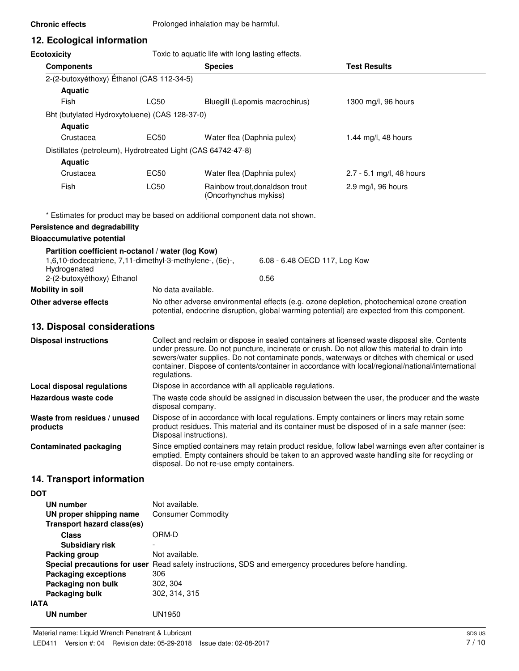**Chronic effects** Prolonged inhalation may be harmful.

# **12. Ecological information**

**Ecotoxicity Toxic to aquatic life with long lasting effects.** 

| <b>Ecotoxicity</b>                                                                                                           | Toxic to aquatic life with long lasting effects. |                                                                                                                                                                                            |                                |                          |
|------------------------------------------------------------------------------------------------------------------------------|--------------------------------------------------|--------------------------------------------------------------------------------------------------------------------------------------------------------------------------------------------|--------------------------------|--------------------------|
| <b>Components</b>                                                                                                            | <b>Species</b>                                   |                                                                                                                                                                                            |                                | <b>Test Results</b>      |
| 2-(2-butoxyéthoxy) Éthanol (CAS 112-34-5)                                                                                    |                                                  |                                                                                                                                                                                            |                                |                          |
| <b>Aquatic</b>                                                                                                               |                                                  |                                                                                                                                                                                            |                                |                          |
| Fish                                                                                                                         | <b>LC50</b>                                      | Bluegill (Lepomis macrochirus)                                                                                                                                                             |                                | 1300 mg/l, 96 hours      |
| Bht (butylated Hydroxytoluene) (CAS 128-37-0)                                                                                |                                                  |                                                                                                                                                                                            |                                |                          |
| <b>Aquatic</b>                                                                                                               |                                                  |                                                                                                                                                                                            |                                |                          |
| Crustacea                                                                                                                    | EC50                                             | Water flea (Daphnia pulex)                                                                                                                                                                 |                                | 1.44 mg/l, 48 hours      |
| Distillates (petroleum), Hydrotreated Light (CAS 64742-47-8)                                                                 |                                                  |                                                                                                                                                                                            |                                |                          |
| <b>Aquatic</b>                                                                                                               |                                                  |                                                                                                                                                                                            |                                |                          |
| Crustacea                                                                                                                    | EC50                                             | Water flea (Daphnia pulex)                                                                                                                                                                 |                                | 2.7 - 5.1 mg/l, 48 hours |
| Fish                                                                                                                         | <b>LC50</b>                                      | (Oncorhynchus mykiss)                                                                                                                                                                      | Rainbow trout, donaldson trout | 2.9 mg/l, 96 hours       |
| * Estimates for product may be based on additional component data not shown.                                                 |                                                  |                                                                                                                                                                                            |                                |                          |
| Persistence and degradability                                                                                                |                                                  |                                                                                                                                                                                            |                                |                          |
| <b>Bioaccumulative potential</b>                                                                                             |                                                  |                                                                                                                                                                                            |                                |                          |
| Partition coefficient n-octanol / water (log Kow)<br>1,6,10-dodecatriene, 7,11-dimethyl-3-methylene-, (6e)-,<br>Hydrogenated |                                                  |                                                                                                                                                                                            | 6.08 - 6.48 OECD 117, Log Kow  |                          |
| 2-(2-butoxyéthoxy) Éthanol                                                                                                   |                                                  |                                                                                                                                                                                            | 0.56                           |                          |
| <b>Mobility in soil</b>                                                                                                      | No data available.                               |                                                                                                                                                                                            |                                |                          |
| Other adverse effects                                                                                                        |                                                  | No other adverse environmental effects (e.g. ozone depletion, photochemical ozone creation<br>potential, endocrine disruption, global warming potential) are expected from this component. |                                |                          |
| 13. Disposal considerations                                                                                                  |                                                  |                                                                                                                                                                                            |                                |                          |

| Collect and reclaim or dispose in sealed containers at licensed waste disposal site. Contents<br>under pressure. Do not puncture, incinerate or crush. Do not allow this material to drain into<br>sewers/water supplies. Do not contaminate ponds, waterways or ditches with chemical or used<br>container. Dispose of contents/container in accordance with local/regional/national/international<br>regulations. |
|---------------------------------------------------------------------------------------------------------------------------------------------------------------------------------------------------------------------------------------------------------------------------------------------------------------------------------------------------------------------------------------------------------------------|
| Dispose in accordance with all applicable regulations.                                                                                                                                                                                                                                                                                                                                                              |
| The waste code should be assigned in discussion between the user, the producer and the waste<br>disposal company.                                                                                                                                                                                                                                                                                                   |
| Dispose of in accordance with local regulations. Empty containers or liners may retain some<br>product residues. This material and its container must be disposed of in a safe manner (see:<br>Disposal instructions).                                                                                                                                                                                              |
| Since emptied containers may retain product residue, follow label warnings even after container is<br>emptied. Empty containers should be taken to an approved waste handling site for recycling or<br>disposal. Do not re-use empty containers.                                                                                                                                                                    |
|                                                                                                                                                                                                                                                                                                                                                                                                                     |

# **14. Transport information**

| ۰, | I<br>۰. |
|----|---------|
|----|---------|

| UN number<br>UN proper shipping name | Not available.<br><b>Consumer Commodity</b>                                                          |
|--------------------------------------|------------------------------------------------------------------------------------------------------|
| Transport hazard class(es)           |                                                                                                      |
| <b>Class</b>                         | ORM-D                                                                                                |
| Subsidiary risk                      |                                                                                                      |
| Packing group                        | Not available.                                                                                       |
|                                      | Special precautions for user Read safety instructions, SDS and emergency procedures before handling. |
| <b>Packaging exceptions</b>          | 306                                                                                                  |
| Packaging non bulk                   | 302, 304                                                                                             |
| Packaging bulk                       | 302, 314, 315                                                                                        |
| <b>IATA</b>                          |                                                                                                      |
| UN number                            | JN1950                                                                                               |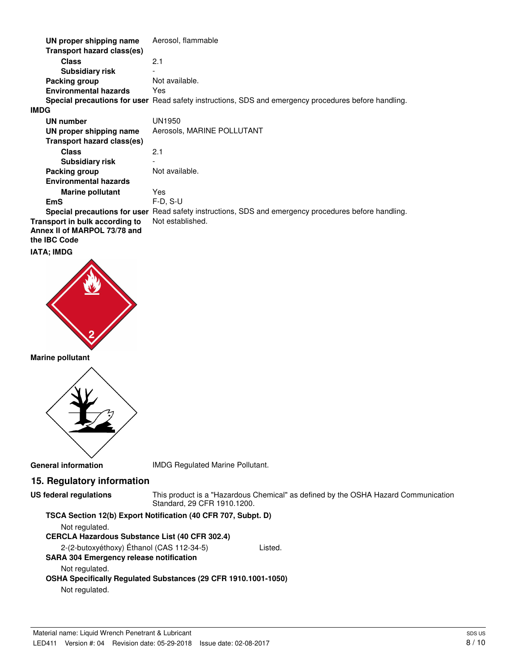| UN proper shipping name                                                               | Aerosol, flammable                                                                                   |
|---------------------------------------------------------------------------------------|------------------------------------------------------------------------------------------------------|
| Transport hazard class(es)                                                            |                                                                                                      |
| <b>Class</b>                                                                          | 2.1                                                                                                  |
| <b>Subsidiary risk</b>                                                                |                                                                                                      |
| Packing group                                                                         | Not available.                                                                                       |
| <b>Environmental hazards</b>                                                          | Yes                                                                                                  |
|                                                                                       | Special precautions for user Read safety instructions, SDS and emergency procedures before handling. |
| <b>IMDG</b>                                                                           |                                                                                                      |
| UN number                                                                             | UN1950                                                                                               |
| UN proper shipping name                                                               | Aerosols, MARINE POLLUTANT                                                                           |
| Transport hazard class(es)                                                            |                                                                                                      |
| <b>Class</b>                                                                          | 2.1                                                                                                  |
| <b>Subsidiary risk</b>                                                                |                                                                                                      |
| Packing group                                                                         | Not available.                                                                                       |
| <b>Environmental hazards</b>                                                          |                                                                                                      |
| <b>Marine pollutant</b>                                                               | Yes                                                                                                  |
| <b>EmS</b>                                                                            | $F-D, S-U$                                                                                           |
|                                                                                       | Special precautions for user Read safety instructions, SDS and emergency procedures before handling. |
| Transport in bulk according to<br>Annex II of MARPOL 73/78 and<br>the <b>IBC</b> Code | Not established.                                                                                     |
| IATA: IMDG                                                                            |                                                                                                      |



#### **Marine pollutant**



**General information** IMDG Regulated Marine Pollutant.

# **15. Regulatory information**

```
US federal regulations
```
This product is a "Hazardous Chemical" as defined by the OSHA Hazard Communication Standard, 29 CFR 1910.1200.

#### **TSCA Section 12(b) Export Notification (40 CFR 707, Subpt. D)**

Not regulated.

#### **CERCLA Hazardous Substance List (40 CFR 302.4)**

2-(2-butoxyéthoxy) Éthanol (CAS 112-34-5) Listed.

**SARA 304 Emergency release notification**

#### Not regulated.

**OSHA Specifically Regulated Substances (29 CFR 1910.1001-1050)**

Not regulated.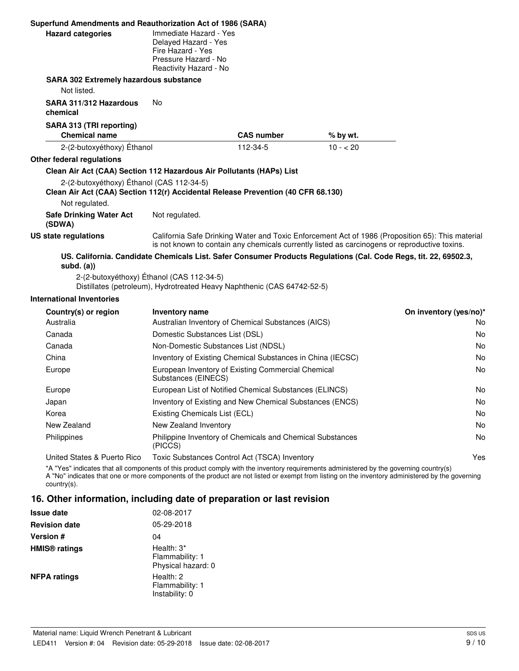| Superfund Amendments and Reauthorization Act of 1986 (SARA)                                                                   |                                                                                                                       |                   |           |                                                                                                                                                                                                   |
|-------------------------------------------------------------------------------------------------------------------------------|-----------------------------------------------------------------------------------------------------------------------|-------------------|-----------|---------------------------------------------------------------------------------------------------------------------------------------------------------------------------------------------------|
| <b>Hazard categories</b>                                                                                                      | Immediate Hazard - Yes<br>Delayed Hazard - Yes<br>Fire Hazard - Yes<br>Pressure Hazard - No<br>Reactivity Hazard - No |                   |           |                                                                                                                                                                                                   |
| <b>SARA 302 Extremely hazardous substance</b>                                                                                 |                                                                                                                       |                   |           |                                                                                                                                                                                                   |
| Not listed.                                                                                                                   |                                                                                                                       |                   |           |                                                                                                                                                                                                   |
| SARA 311/312 Hazardous<br>chemical                                                                                            | No                                                                                                                    |                   |           |                                                                                                                                                                                                   |
| SARA 313 (TRI reporting)<br><b>Chemical name</b>                                                                              |                                                                                                                       | <b>CAS number</b> | % by wt.  |                                                                                                                                                                                                   |
| 2-(2-butoxyéthoxy) Éthanol                                                                                                    |                                                                                                                       | 112-34-5          | $10 - 20$ |                                                                                                                                                                                                   |
| Other federal regulations                                                                                                     |                                                                                                                       |                   |           |                                                                                                                                                                                                   |
| Clean Air Act (CAA) Section 112 Hazardous Air Pollutants (HAPs) List                                                          |                                                                                                                       |                   |           |                                                                                                                                                                                                   |
| 2-(2-butoxyéthoxy) Éthanol (CAS 112-34-5)<br>Clean Air Act (CAA) Section 112(r) Accidental Release Prevention (40 CFR 68.130) |                                                                                                                       |                   |           |                                                                                                                                                                                                   |
| Not regulated.                                                                                                                |                                                                                                                       |                   |           |                                                                                                                                                                                                   |
| <b>Safe Drinking Water Act</b><br>(SDWA)                                                                                      | Not regulated.                                                                                                        |                   |           |                                                                                                                                                                                                   |
| <b>US state regulations</b>                                                                                                   |                                                                                                                       |                   |           | California Safe Drinking Water and Toxic Enforcement Act of 1986 (Proposition 65): This material<br>is not known to contain any chemicals currently listed as carcinogens or reproductive toxins. |
| $subd.$ $(a))$                                                                                                                |                                                                                                                       |                   |           | US. California. Candidate Chemicals List. Safer Consumer Products Regulations (Cal. Code Regs, tit. 22, 69502.3,                                                                                  |
|                                                                                                                               | 2-(2-butoxyéthoxy) Éthanol (CAS 112-34-5)<br>Distillates (petroleum), Hydrotreated Heavy Naphthenic (CAS 64742-52-5)  |                   |           |                                                                                                                                                                                                   |
| <b>International Inventories</b>                                                                                              |                                                                                                                       |                   |           |                                                                                                                                                                                                   |
| Country(s) or region                                                                                                          | <b>Inventory name</b>                                                                                                 |                   |           | On inventory (yes/no)*                                                                                                                                                                            |
| Australia                                                                                                                     | Australian Inventory of Chemical Substances (AICS)                                                                    |                   |           | No                                                                                                                                                                                                |
| Canada                                                                                                                        | Domestic Substances List (DSL)                                                                                        |                   |           | No                                                                                                                                                                                                |
| Canada                                                                                                                        | Non-Domestic Substances List (NDSL)                                                                                   |                   |           | No                                                                                                                                                                                                |
| China                                                                                                                         | Inventory of Existing Chemical Substances in China (IECSC)                                                            |                   |           | No                                                                                                                                                                                                |
| Europe                                                                                                                        | European Inventory of Existing Commercial Chemical<br>Substances (EINECS)                                             |                   |           | No                                                                                                                                                                                                |
| Europe                                                                                                                        | European List of Notified Chemical Substances (ELINCS)                                                                |                   |           | No                                                                                                                                                                                                |
| Japan                                                                                                                         | Inventory of Existing and New Chemical Substances (ENCS)                                                              |                   |           | No                                                                                                                                                                                                |
| Korea                                                                                                                         | Existing Chemicals List (ECL)                                                                                         |                   |           | No                                                                                                                                                                                                |
| New Zealand                                                                                                                   | New Zealand Inventory                                                                                                 |                   |           | No                                                                                                                                                                                                |
| Philippines                                                                                                                   | Philippine Inventory of Chemicals and Chemical Substances                                                             |                   |           | No                                                                                                                                                                                                |

United States & Puerto Rico Toxic Substances Control Act (TSCA) Inventory Yes \*A "Yes" indicates that all components of this product comply with the inventory requirements administered by the governing country(s)

A "No" indicates that one or more components of the product are not listed or exempt from listing on the inventory administered by the governing country(s).

### **16. Other information, including date of preparation or last revision**

(PICCS)

| <b>Issue date</b>               | 02-08-2017                                          |
|---------------------------------|-----------------------------------------------------|
| <b>Revision date</b>            | 05-29-2018                                          |
| <b>Version</b> #                | 04                                                  |
| <b>HMIS<sup>®</sup></b> ratings | Health: 3*<br>Flammability: 1<br>Physical hazard: 0 |
| <b>NFPA ratings</b>             | Health: 2<br>Flammability: 1<br>Instability: 0      |